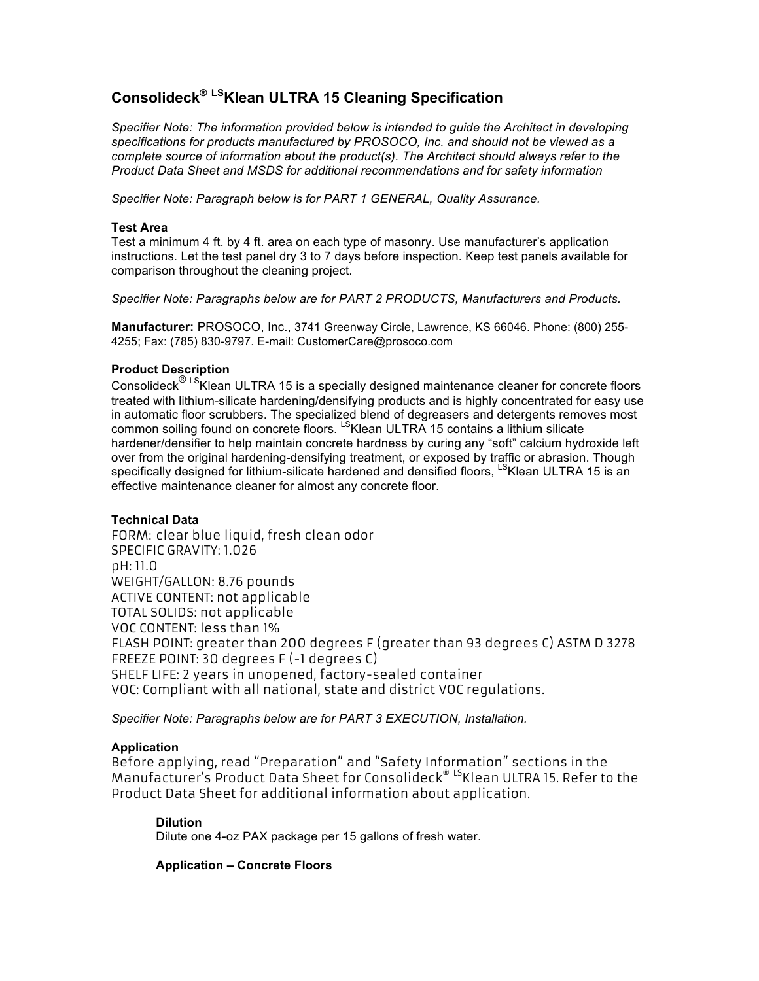# **Consolideck® LSKlean ULTRA 15 Cleaning Specification**

*Specifier Note: The information provided below is intended to guide the Architect in developing specifications for products manufactured by PROSOCO, Inc. and should not be viewed as a complete source of information about the product(s). The Architect should always refer to the Product Data Sheet and MSDS for additional recommendations and for safety information*

*Specifier Note: Paragraph below is for PART 1 GENERAL, Quality Assurance.*

### **Test Area**

Test a minimum 4 ft. by 4 ft. area on each type of masonry. Use manufacturer's application instructions. Let the test panel dry 3 to 7 days before inspection. Keep test panels available for comparison throughout the cleaning project.

*Specifier Note: Paragraphs below are for PART 2 PRODUCTS, Manufacturers and Products.*

**Manufacturer:** PROSOCO, Inc., 3741 Greenway Circle, Lawrence, KS 66046. Phone: (800) 255- 4255; Fax: (785) 830-9797. E-mail: CustomerCare@prosoco.com

## **Product Description**

Consolideck<sup>® LS</sup>Klean ULTRA 15 is a specially designed maintenance cleaner for concrete floors treated with lithium-silicate hardening/densifying products and is highly concentrated for easy use in automatic floor scrubbers. The specialized blend of degreasers and detergents removes most common soiling found on concrete floors. L<sup>S</sup>Klean ULTRA 15 contains a lithium silicate hardener/densifier to help maintain concrete hardness by curing any "soft" calcium hydroxide left over from the original hardening-densifying treatment, or exposed by traffic or abrasion. Though specifically designed for lithium-silicate hardened and densified floors, LSKIean ULTRA 15 is an effective maintenance cleaner for almost any concrete floor.

## **Technical Data**

FORM: clear blue liquid, fresh clean odor SPECIFIC GRAVITY: 1.026 pH: 11.0 WEIGHT/GALLON: 8.76 pounds ACTIVE CONTENT: not applicable TOTAL SOLIDS: not applicable VOC CONTENT: less than 1% FLASH POINT: greater than 200 degrees F (greater than 93 degrees C) ASTM D 3278 FREEZE POINT: 30 degrees F (-1 degrees C) SHELF LIFE: 2 years in unopened, factory-sealed container VOC: Compliant with all national, state and district VOC regulations.

*Specifier Note: Paragraphs below are for PART 3 EXECUTION, Installation.*

#### **Application**

Before applying, read "Preparation" and "Safety Information" sections in the Manufacturer's Product Data Sheet for Consolideck® LSKlean ULTRA 15. Refer to the Product Data Sheet for additional information about application.

#### **Dilution**

Dilute one 4-oz PAX package per 15 gallons of fresh water.

## **Application – Concrete Floors**